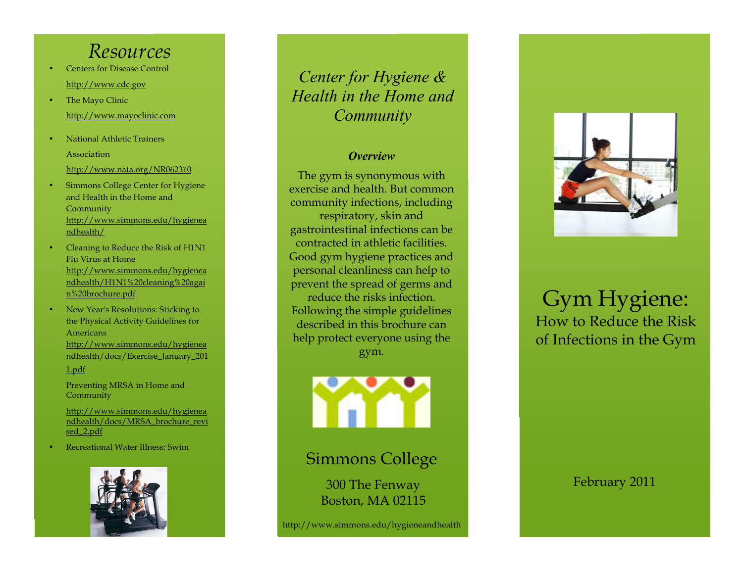# *Resources*

- • Centers for Disease Control http://www.cdc.gov
- • The Mayo Clinic http://www.mayoclinic.com
- • National Athletic Trainers Association http://www.nata.org/NR062310
- Simmons College Center for Hygiene a nd Health in the Home and • Community http://www.simmons.edu/hygienea ndhealth/
- • Cleaning to Reduce the Risk of H1N1 Flu Virus at Home http://www.simmons.edu/hygienea ndhealth/H1N1%20cleaning%20agai n%20brochure.pdf
- • New Year's Resolutions: Sticking to the Physical Activity Guidelines for Americans http://www.simmons.edu/hygienea ndhealth/docs/Exercise\_January\_201 1.pdf

 Preventing MRSA in Home and Community

http://www.simmons.edu/hygienea ndhealth/docs/MRSA\_brochure\_revi sed\_2.pdf

• Recreational Water Illness: Swim



# *Center for Hygiene & Health in the Home and Community*

### *Overview*

The gym is synonymous with exercise and health. But common community infections, including respiratory, skin and gastrointestinal infections can be contracted in athletic facilities. Good gym hygiene practices and personal cleanliness can help to prevent the spread of germs and reduce the risks infection. Following the simple guidelines described in this brochure can help protect everyone using the gym.



Simmons College

 Boston, MA 02115 300 The Fenway

[http://www.simmons.edu/hygieneandh](http://www.simmons.edu/hygieneandhealth)ealth



# How to Reduce the Risk of Infections in the Gym Gym Hygiene:

February 2011